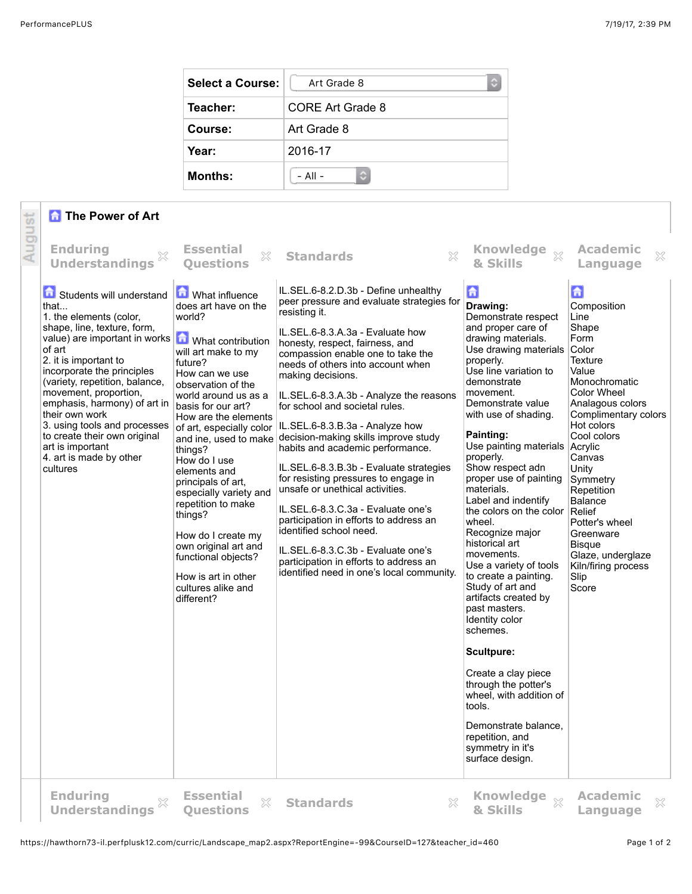¢

| <b>Select a Course:</b> | Art Grade 8             |
|-------------------------|-------------------------|
| Teacher:                | <b>CORE Art Grade 8</b> |
| Course:                 | Art Grade 8             |
| Year:                   | 2016-17                 |
| <b>Months:</b>          | $-$ All $-$<br>٥        |

## **The Power of Art**

|        | <b>The Power of Art</b>                                                                                                                                                                                                                                                                                                                                                                                                              |                                                                                                                                                                                                                                                                                                                                                                                                                                                                                                                                                 |                                                                                                                                                                                                                                                                                                                                                                                                                                                                                                                                                                                                                                                                                                                                                                                                                                    |                                                                                                                                                                                                                                                                                                                                                                                                                                                                                                                                                                                                                                                                                                                                                                                                             |                                                                                                                                                                                                                                                                                                                                                                                         |
|--------|--------------------------------------------------------------------------------------------------------------------------------------------------------------------------------------------------------------------------------------------------------------------------------------------------------------------------------------------------------------------------------------------------------------------------------------|-------------------------------------------------------------------------------------------------------------------------------------------------------------------------------------------------------------------------------------------------------------------------------------------------------------------------------------------------------------------------------------------------------------------------------------------------------------------------------------------------------------------------------------------------|------------------------------------------------------------------------------------------------------------------------------------------------------------------------------------------------------------------------------------------------------------------------------------------------------------------------------------------------------------------------------------------------------------------------------------------------------------------------------------------------------------------------------------------------------------------------------------------------------------------------------------------------------------------------------------------------------------------------------------------------------------------------------------------------------------------------------------|-------------------------------------------------------------------------------------------------------------------------------------------------------------------------------------------------------------------------------------------------------------------------------------------------------------------------------------------------------------------------------------------------------------------------------------------------------------------------------------------------------------------------------------------------------------------------------------------------------------------------------------------------------------------------------------------------------------------------------------------------------------------------------------------------------------|-----------------------------------------------------------------------------------------------------------------------------------------------------------------------------------------------------------------------------------------------------------------------------------------------------------------------------------------------------------------------------------------|
| August | <b>Enduring</b><br>X<br><b>Understandings</b>                                                                                                                                                                                                                                                                                                                                                                                        | <b>Essential</b><br>$\mathbb{S}^2$<br><b>Ouestions</b>                                                                                                                                                                                                                                                                                                                                                                                                                                                                                          | $\mathbb{X}$<br><b>Standards</b>                                                                                                                                                                                                                                                                                                                                                                                                                                                                                                                                                                                                                                                                                                                                                                                                   | <b>Knowledge</b><br>$\mathbb{X}$<br>& Skills                                                                                                                                                                                                                                                                                                                                                                                                                                                                                                                                                                                                                                                                                                                                                                | <b>Academic</b><br>$\boldsymbol{\mathcal{Z}}$<br>Language                                                                                                                                                                                                                                                                                                                               |
|        | Students will understand<br>that<br>1. the elements (color,<br>shape, line, texture, form,<br>value) are important in works<br>of art<br>2. it is important to<br>incorporate the principles<br>(variety, repetition, balance,<br>movement, proportion,<br>emphasis, harmony) of art in<br>their own work<br>3. using tools and processes<br>to create their own original<br>art is important<br>4. art is made by other<br>cultures | <b>M</b> What influence<br>does art have on the<br>world?<br>What contribution<br>will art make to my<br>future?<br>How can we use<br>observation of the<br>world around us as a<br>basis for our art?<br>How are the elements<br>of art, especially color<br>and ine, used to make<br>things?<br>How do I use<br>elements and<br>principals of art.<br>especially variety and<br>repetition to make<br>things?<br>How do I create my<br>own original art and<br>functional objects?<br>How is art in other<br>cultures alike and<br>different? | IL.SEL.6-8.2.D.3b - Define unhealthy<br>peer pressure and evaluate strategies for<br>resisting it.<br>IL.SEL.6-8.3.A.3a - Evaluate how<br>honesty, respect, fairness, and<br>compassion enable one to take the<br>needs of others into account when<br>making decisions.<br>IL.SEL.6-8.3.A.3b - Analyze the reasons<br>for school and societal rules.<br>IL.SEL.6-8.3.B.3a - Analyze how<br>decision-making skills improve study<br>habits and academic performance.<br>IL.SEL.6-8.3.B.3b - Evaluate strategies<br>for resisting pressures to engage in<br>unsafe or unethical activities.<br>IL.SEL.6-8.3.C.3a - Evaluate one's<br>participation in efforts to address an<br>identified school need.<br>IL.SEL.6-8.3.C.3b - Evaluate one's<br>participation in efforts to address an<br>identified need in one's local community. | $\mathbf{G}$<br>Drawing:<br>Demonstrate respect<br>and proper care of<br>drawing materials.<br>Use drawing materials<br>properly.<br>Use line variation to<br>demonstrate<br>movement.<br>Demonstrate value<br>with use of shading.<br>Painting:<br>Use painting materials<br>properly.<br>Show respect adn<br>proper use of painting<br>materials.<br>Label and indentify<br>the colors on the color<br>wheel.<br>Recognize major<br>historical art<br>movements.<br>Use a variety of tools<br>to create a painting.<br>Study of art and<br>artifacts created by<br>past masters.<br>Identity color<br>schemes.<br><b>Scultpure:</b><br>Create a clay piece<br>through the potter's<br>wheel, with addition of<br>tools.<br>Demonstrate balance.<br>repetition, and<br>symmetry in it's<br>surface design. | 6<br>Composition<br>Line<br>Shape<br>Form<br>Color<br><b>Texture</b><br>Value<br>Monochromatic<br>Color Wheel<br>Analagous colors<br>Complimentary colors<br>Hot colors<br>Cool colors<br>Acrylic<br>Canvas<br>Unity<br>Symmetry<br>Repetition<br><b>Balance</b><br>Relief<br>Potter's wheel<br>Greenware<br><b>Bisque</b><br>Glaze, underglaze<br>Kiln/firing process<br>Slip<br>Score |
|        | <b>Enduring</b><br>×<br><b>Understandings</b>                                                                                                                                                                                                                                                                                                                                                                                        | <b>Essential</b><br>X<br><b>Questions</b>                                                                                                                                                                                                                                                                                                                                                                                                                                                                                                       | X<br><b>Standards</b>                                                                                                                                                                                                                                                                                                                                                                                                                                                                                                                                                                                                                                                                                                                                                                                                              | Knowledge xx<br>& Skills                                                                                                                                                                                                                                                                                                                                                                                                                                                                                                                                                                                                                                                                                                                                                                                    | <b>Academic</b><br>$\chi$<br>Language                                                                                                                                                                                                                                                                                                                                                   |